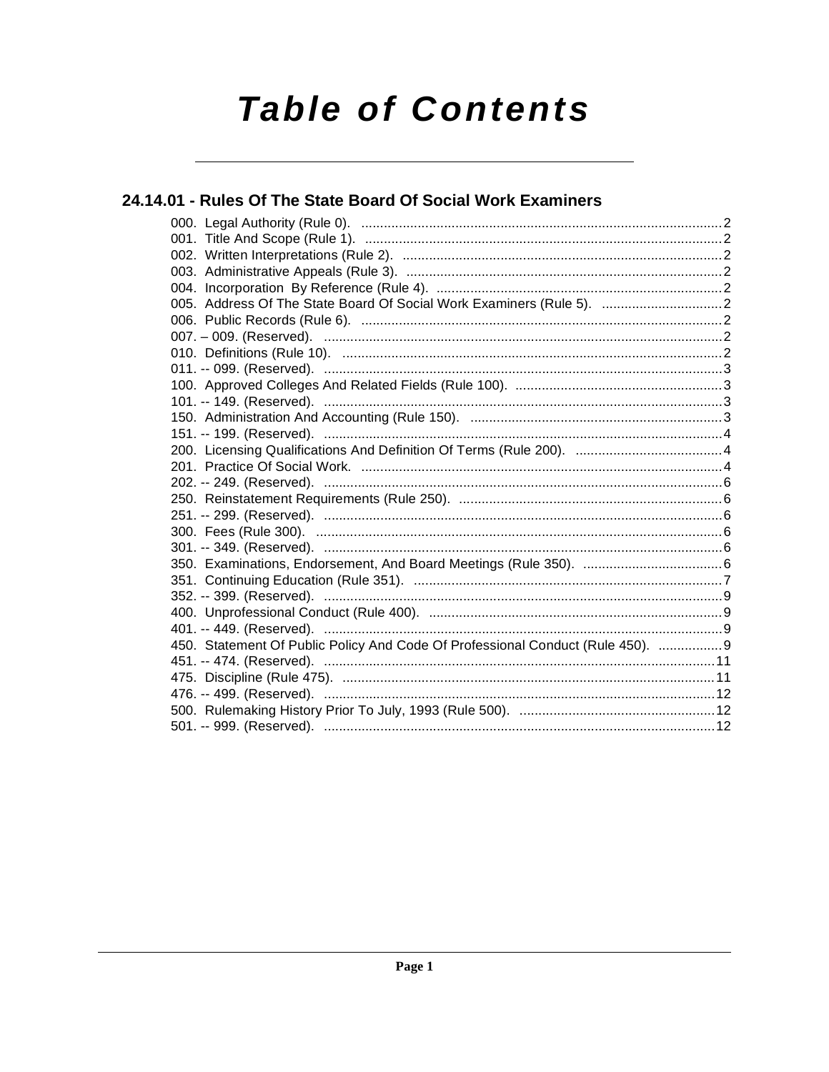# **Table of Contents**

## 24.14.01 - Rules Of The State Board Of Social Work Examiners

| 005. Address Of The State Board Of Social Work Examiners (Rule 5).  2           |  |
|---------------------------------------------------------------------------------|--|
|                                                                                 |  |
|                                                                                 |  |
|                                                                                 |  |
|                                                                                 |  |
|                                                                                 |  |
|                                                                                 |  |
|                                                                                 |  |
|                                                                                 |  |
|                                                                                 |  |
|                                                                                 |  |
|                                                                                 |  |
|                                                                                 |  |
|                                                                                 |  |
|                                                                                 |  |
|                                                                                 |  |
|                                                                                 |  |
|                                                                                 |  |
|                                                                                 |  |
|                                                                                 |  |
|                                                                                 |  |
| 450. Statement Of Public Policy And Code Of Professional Conduct (Rule 450).  9 |  |
|                                                                                 |  |
|                                                                                 |  |
|                                                                                 |  |
|                                                                                 |  |
|                                                                                 |  |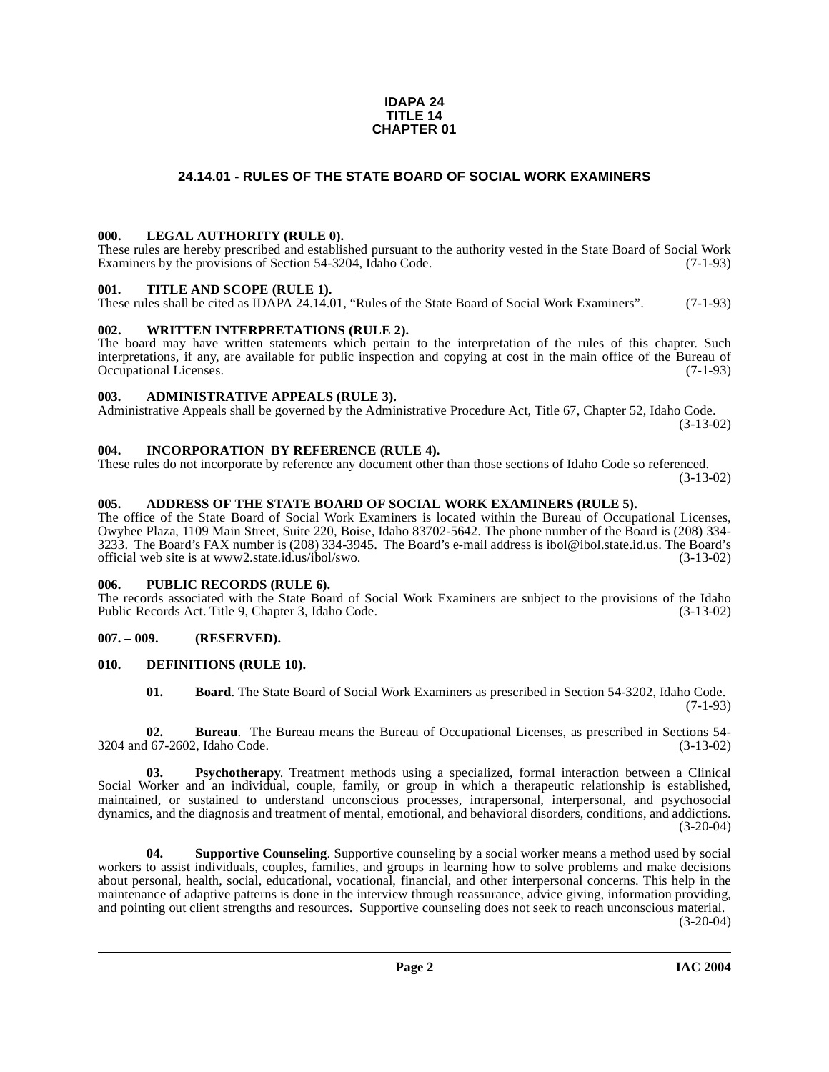## **IDAPA 24 TITLE 14 CHAPTER 01**

## **24.14.01 - RULES OF THE STATE BOARD OF SOCIAL WORK EXAMINERS**

## <span id="page-1-1"></span><span id="page-1-0"></span>**000. LEGAL AUTHORITY (RULE 0).**

These rules are hereby prescribed and established pursuant to the authority vested in the State Board of Social Work Examiners by the provisions of Section 54-3204, Idaho Code. (7-1-93)

## <span id="page-1-2"></span>**001. TITLE AND SCOPE (RULE 1).**

These rules shall be cited as IDAPA 24.14.01, "Rules of the State Board of Social Work Examiners". (7-1-93)

## <span id="page-1-3"></span>**002. WRITTEN INTERPRETATIONS (RULE 2).**

The board may have written statements which pertain to the interpretation of the rules of this chapter. Such interpretations, if any, are available for public inspection and copying at cost in the main office of the Bureau of Occupational Licenses. (7-1-93) Occupational Licenses.

## <span id="page-1-4"></span>**003. ADMINISTRATIVE APPEALS (RULE 3).**

Administrative Appeals shall be governed by the Administrative Procedure Act, Title 67, Chapter 52, Idaho Code. (3-13-02)

## <span id="page-1-5"></span>**004. INCORPORATION BY REFERENCE (RULE 4).**

These rules do not incorporate by reference any document other than those sections of Idaho Code so referenced. (3-13-02)

## <span id="page-1-6"></span>**005. ADDRESS OF THE STATE BOARD OF SOCIAL WORK EXAMINERS (RULE 5).**

[The office of the State Board of Social Work Examiners is located within the Bureau of Occupational Licenses,](mailto:ibol@ibol.state.id.us) Owyhee Plaza, 1109 Main Street, Suite 220, Boise, Idaho 83702-5642. The phone number of the Board is (208) 334- 3233. The Board's FAX number is (208) 334-3945. The Board's e-mail address is ibol@ibol.state.id.us. The Board's [official web site is at](mailto:ibol@ibol.state.id.us) www2.state.id.us/ibol/swo.

## <span id="page-1-7"></span>**006. PUBLIC RECORDS (RULE 6).**

The records associated with the State Board of Social Work Examiners are subject to the provisions of the Idaho<br>Public Records Act. Title 9, Chapter 3, Idaho Code. (3-13-02) Public Records Act. Title 9, Chapter 3, Idaho Code.

## <span id="page-1-8"></span>**007. – 009. (RESERVED).**

## <span id="page-1-9"></span>**010. DEFINITIONS (RULE 10).**

<span id="page-1-10"></span>**01. Board**. The State Board of Social Work Examiners as prescribed in Section 54-3202, Idaho Code. (7-1-93)

**02. Bureau**. The Bureau means the Bureau of Occupational Licenses, as prescribed in Sections 54- 3204 and 67-2602, Idaho Code. (3-13-02)

**03. Psychotherapy**. Treatment methods using a specialized, formal interaction between a Clinical Social Worker and an individual, couple, family, or group in which a therapeutic relationship is established, maintained, or sustained to understand unconscious processes, intrapersonal, interpersonal, and psychosocial dynamics, and the diagnosis and treatment of mental, emotional, and behavioral disorders, conditions, and addictions.  $(3-20-04)$ 

**04. Supportive Counseling**. Supportive counseling by a social worker means a method used by social workers to assist individuals, couples, families, and groups in learning how to solve problems and make decisions about personal, health, social, educational, vocational, financial, and other interpersonal concerns. This help in the maintenance of adaptive patterns is done in the interview through reassurance, advice giving, information providing, and pointing out client strengths and resources. Supportive counseling does not seek to reach unconscious material.

(3-20-04)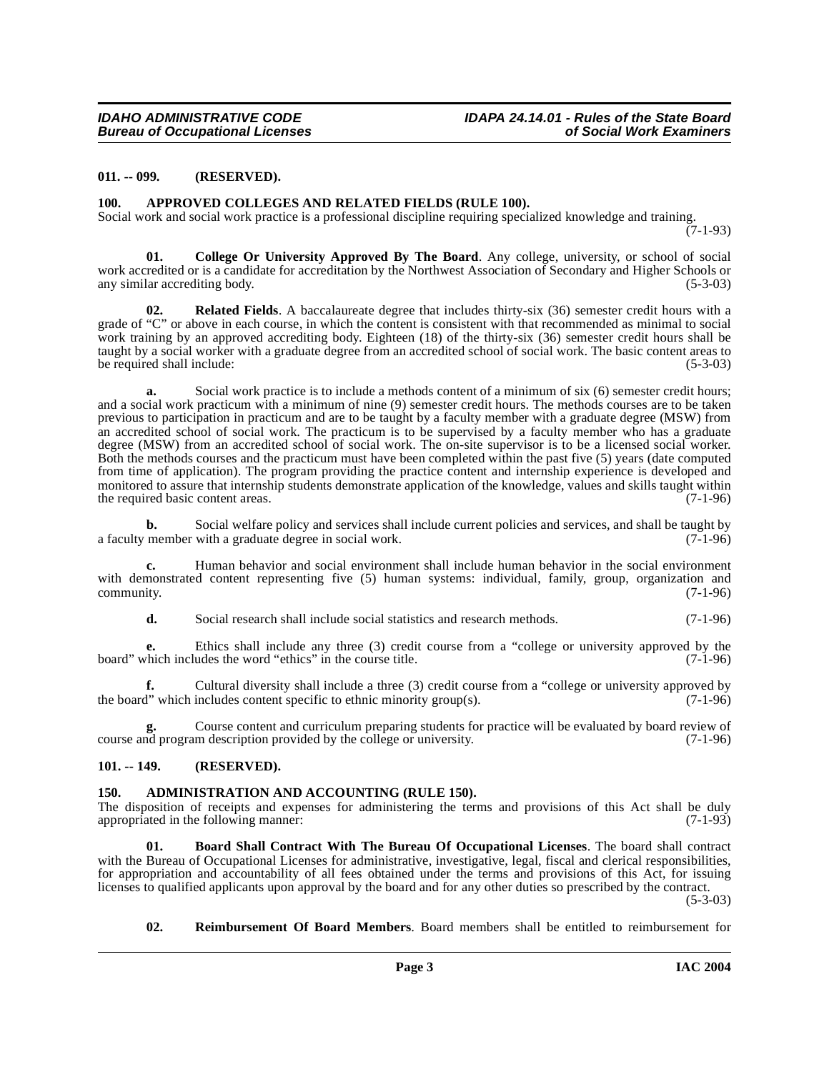## <span id="page-2-0"></span>**011. -- 099. (RESERVED).**

#### <span id="page-2-5"></span><span id="page-2-1"></span>**100. APPROVED COLLEGES AND RELATED FIELDS (RULE 100).**

Social work and social work practice is a professional discipline requiring specialized knowledge and training.

 $(7-1-93)$ 

<span id="page-2-7"></span>**01. College Or University Approved By The Board**. Any college, university, or school of social work accredited or is a candidate for accreditation by the Northwest Association of Secondary and Higher Schools or any similar accrediting body. (5-3-03) (5-3-03)

**Related Fields**. A baccalaureate degree that includes thirty-six (36) semester credit hours with a grade of "C" or above in each course, in which the content is consistent with that recommended as minimal to social work training by an approved accrediting body. Eighteen (18) of the thirty-six (36) semester credit hours shall be taught by a social worker with a graduate degree from an accredited school of social work. The basic content areas to<br>(5-3-03) (5-3-03) be required shall include:

**a.** Social work practice is to include a methods content of a minimum of six (6) semester credit hours; and a social work practicum with a minimum of nine (9) semester credit hours. The methods courses are to be taken previous to participation in practicum and are to be taught by a faculty member with a graduate degree (MSW) from an accredited school of social work. The practicum is to be supervised by a faculty member who has a graduate degree (MSW) from an accredited school of social work. The on-site supervisor is to be a licensed social worker. Both the methods courses and the practicum must have been completed within the past five (5) years (date computed from time of application). The program providing the practice content and internship experience is developed and monitored to assure that internship students demonstrate application of the knowledge, values and skills taught within<br>the required basic content areas the required basic content areas.

**b.** Social welfare policy and services shall include current policies and services, and shall be taught by a faculty member with a graduate degree in social work. (7-1-96)

**c.** Human behavior and social environment shall include human behavior in the social environment with demonstrated content representing five (5) human systems: individual, family, group, organization and  $\epsilon$  community.  $(7-1-96)$ 

**d.** Social research shall include social statistics and research methods. (7-1-96)

**e.** Ethics shall include any three (3) credit course from a "college or university approved by the board" which includes the word "ethics" in the course title. (7-1-96)

**f.** Cultural diversity shall include a three (3) credit course from a "college or university approved by the board" which includes content specific to ethnic minority group(s).  $(7-1-96)$ 

**g.** Course content and curriculum preparing students for practice will be evaluated by board review of course and program description provided by the college or university. (7-1-96)

## <span id="page-2-2"></span>**101. -- 149. (RESERVED).**

## <span id="page-2-4"></span><span id="page-2-3"></span>**150. ADMINISTRATION AND ACCOUNTING (RULE 150).**

The disposition of receipts and expenses for administering the terms and provisions of this Act shall be duly appropriated in the following manner: (7-1-93) appropriated in the following manner:

<span id="page-2-6"></span>**01. Board Shall Contract With The Bureau Of Occupational Licenses**. The board shall contract with the Bureau of Occupational Licenses for administrative, investigative, legal, fiscal and clerical responsibilities, for appropriation and accountability of all fees obtained under the terms and provisions of this Act, for issuing licenses to qualified applicants upon approval by the board and for any other duties so prescribed by the contract.

 $(5-3-03)$ 

## <span id="page-2-8"></span>**02. Reimbursement Of Board Members**. Board members shall be entitled to reimbursement for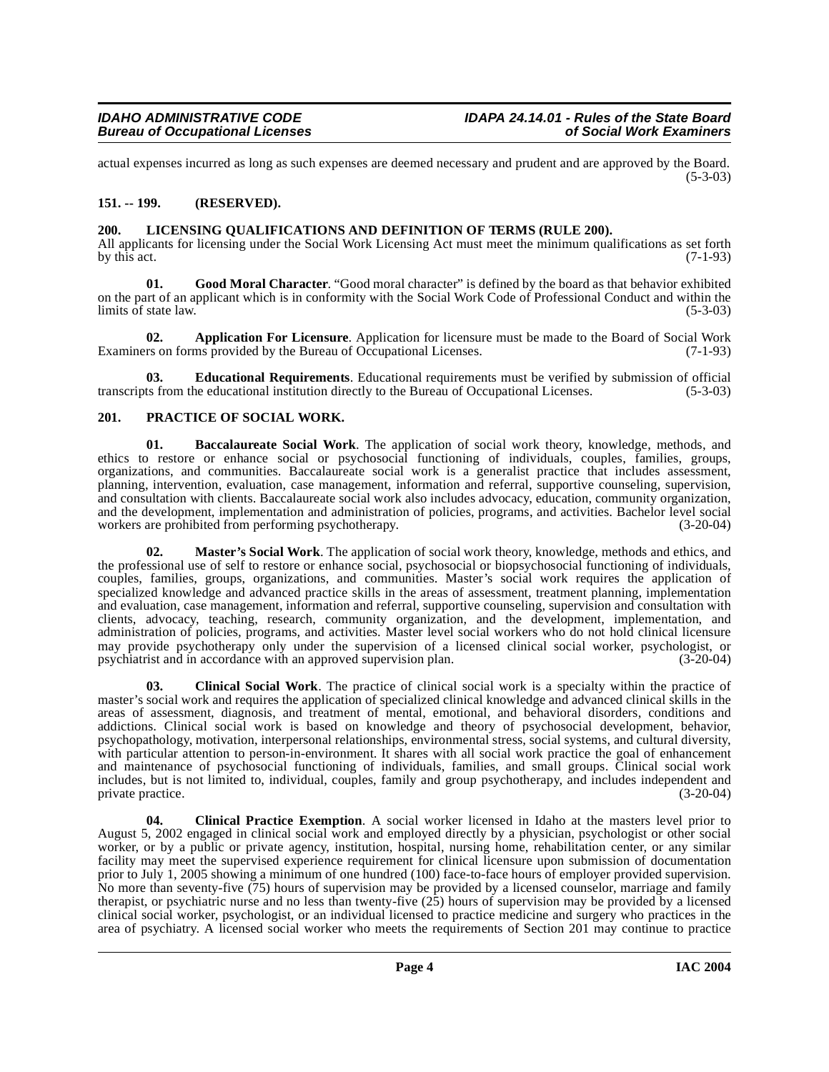actual expenses incurred as long as such expenses are deemed necessary and prudent and are approved by the Board.  $(5-3-03)$ 

## <span id="page-3-0"></span>**151. -- 199. (RESERVED).**

## <span id="page-3-8"></span><span id="page-3-1"></span>**200. LICENSING QUALIFICATIONS AND DEFINITION OF TERMS (RULE 200).**

All applicants for licensing under the Social Work Licensing Act must meet the minimum qualifications as set forth by this act. (7-1-93) by this act.  $(7-1-93)$ 

<span id="page-3-7"></span>**01. Good Moral Character**. "Good moral character" is defined by the board as that behavior exhibited on the part of an applicant which is in conformity with the Social Work Code of Professional Conduct and within the limits of state law. (5-3-03) limits of state law.

<span id="page-3-3"></span>**02. Application For Licensure**. Application for licensure must be made to the Board of Social Work rs on forms provided by the Bureau of Occupational Licenses. (7-1-93) Examiners on forms provided by the Bureau of Occupational Licenses.

<span id="page-3-6"></span>**03. Educational Requirements**. Educational requirements must be verified by submission of official transcripts from the educational institution directly to the Bureau of Occupational Licenses. (5-3-03)

## <span id="page-3-10"></span><span id="page-3-2"></span>**201. PRACTICE OF SOCIAL WORK.**

<span id="page-3-4"></span>**01. Baccalaureate Social Work**. The application of social work theory, knowledge, methods, and ethics to restore or enhance social or psychosocial functioning of individuals, couples, families, groups, organizations, and communities. Baccalaureate social work is a generalist practice that includes assessment, planning, intervention, evaluation, case management, information and referral, supportive counseling, supervision, and consultation with clients. Baccalaureate social work also includes advocacy, education, community organization, and the development, implementation and administration of policies, programs, and activities. Bachelor level social workers are prohibited from performing psychotherapy. (3-20-04)

<span id="page-3-9"></span>**02. Master's Social Work**. The application of social work theory, knowledge, methods and ethics, and the professional use of self to restore or enhance social, psychosocial or biopsychosocial functioning of individuals, couples, families, groups, organizations, and communities. Master's social work requires the application of specialized knowledge and advanced practice skills in the areas of assessment, treatment planning, implementation and evaluation, case management, information and referral, supportive counseling, supervision and consultation with clients, advocacy, teaching, research, community organization, and the development, implementation, and administration of policies, programs, and activities. Master level social workers who do not hold clinical licensure may provide psychotherapy only under the supervision of a licensed clinical social worker, psychologist, or psychiatrist and in accordance with an approved supervision plan. (3-20-04)

<span id="page-3-5"></span>**03. Clinical Social Work**. The practice of clinical social work is a specialty within the practice of master's social work and requires the application of specialized clinical knowledge and advanced clinical skills in the areas of assessment, diagnosis, and treatment of mental, emotional, and behavioral disorders, conditions and addictions. Clinical social work is based on knowledge and theory of psychosocial development, behavior, psychopathology, motivation, interpersonal relationships, environmental stress, social systems, and cultural diversity, with particular attention to person-in-environment. It shares with all social work practice the goal of enhancement and maintenance of psychosocial functioning of individuals, families, and small groups. Clinical social work includes, but is not limited to, individual, couples, family and group psychotherapy, and includes independent and private practice. (3-20-04)

**04. Clinical Practice Exemption**. A social worker licensed in Idaho at the masters level prior to August 5, 2002 engaged in clinical social work and employed directly by a physician, psychologist or other social worker, or by a public or private agency, institution, hospital, nursing home, rehabilitation center, or any similar facility may meet the supervised experience requirement for clinical licensure upon submission of documentation prior to July 1, 2005 showing a minimum of one hundred (100) face-to-face hours of employer provided supervision. No more than seventy-five (75) hours of supervision may be provided by a licensed counselor, marriage and family therapist, or psychiatric nurse and no less than twenty-five (25) hours of supervision may be provided by a licensed clinical social worker, psychologist, or an individual licensed to practice medicine and surgery who practices in the area of psychiatry. A licensed social worker who meets the requirements of Section 201 may continue to practice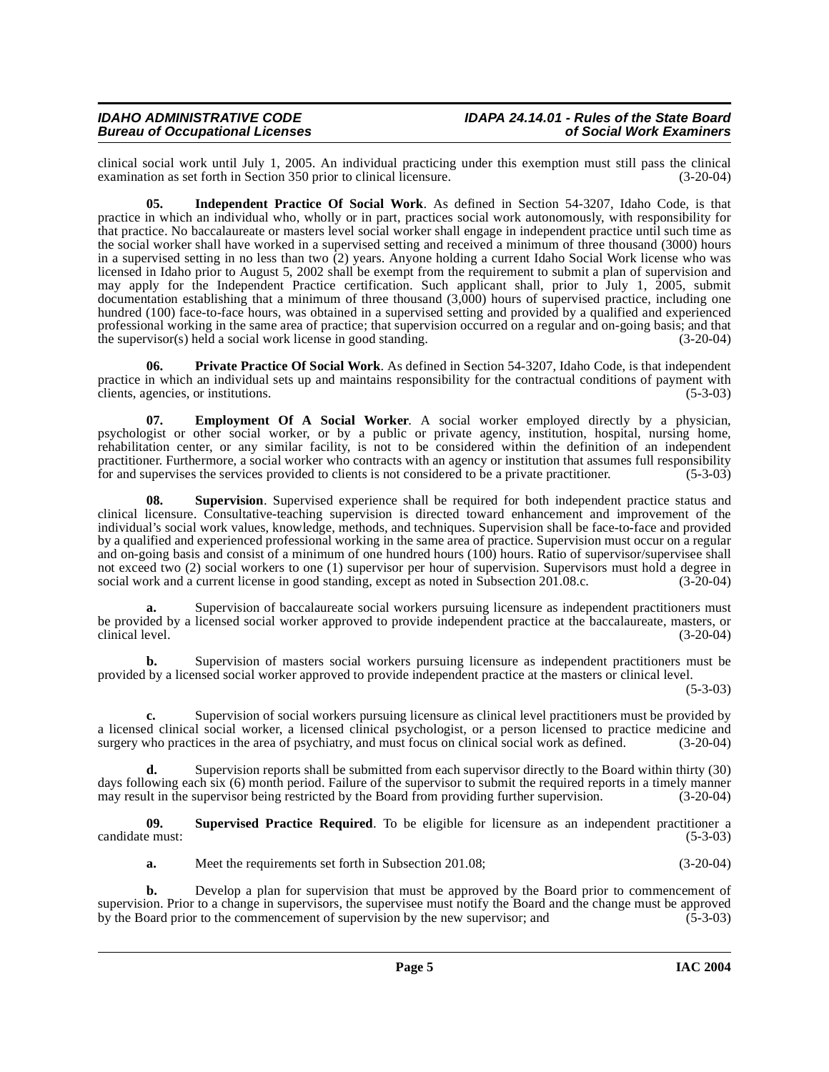clinical social work until July 1, 2005. An individual practicing under this exemption must still pass the clinical examination as set forth in Section 350 prior to clinical licensure.

**05. Independent Practice Of Social Work**. As defined in Section 54-3207, Idaho Code, is that practice in which an individual who, wholly or in part, practices social work autonomously, with responsibility for that practice. No baccalaureate or masters level social worker shall engage in independent practice until such time as the social worker shall have worked in a supervised setting and received a minimum of three thousand (3000) hours in a supervised setting in no less than two (2) years. Anyone holding a current Idaho Social Work license who was licensed in Idaho prior to August 5, 2002 shall be exempt from the requirement to submit a plan of supervision and may apply for the Independent Practice certification. Such applicant shall, prior to July 1, 2005, submit documentation establishing that a minimum of three thousand (3,000) hours of supervised practice, including one hundred (100) face-to-face hours, was obtained in a supervised setting and provided by a qualified and experienced professional working in the same area of practice; that supervision occurred on a regular and on-going basis; and that the supervisor(s) held a social work license in good standing. (3-20-04) the supervisor $(s)$  held a social work license in good standing.

<span id="page-4-1"></span>**06. Private Practice Of Social Work**. As defined in Section 54-3207, Idaho Code, is that independent practice in which an individual sets up and maintains responsibility for the contractual conditions of payment with clients, agencies, or institutions. (5-3-03) clients, agencies, or institutions.

<span id="page-4-0"></span>**07. Employment Of A Social Worker**. A social worker employed directly by a physician, psychologist or other social worker, or by a public or private agency, institution, hospital, nursing home, rehabilitation center, or any similar facility, is not to be considered within the definition of an independent practitioner. Furthermore, a social worker who contracts with an agency or institution that assumes full responsibility for and supervises the services provided to clients is not considered to be a private practitioner. (5-3-03)

<span id="page-4-2"></span>**08. Supervision**. Supervised experience shall be required for both independent practice status and clinical licensure. Consultative-teaching supervision is directed toward enhancement and improvement of the individual's social work values, knowledge, methods, and techniques. Supervision shall be face-to-face and provided by a qualified and experienced professional working in the same area of practice. Supervision must occur on a regular and on-going basis and consist of a minimum of one hundred hours (100) hours. Ratio of supervisor/supervisee shall not exceed two (2) social workers to one (1) supervisor per hour of supervision. Supervisors must hold a degree in social work and a current license in good standing, except as noted in Subsection 201.08.c. (3-20-04)

**a.** Supervision of baccalaureate social workers pursuing licensure as independent practitioners must be provided by a licensed social worker approved to provide independent practice at the baccalaureate, masters, or clinical level. (3-20-04) clinical level. (3-20-04)

**b.** Supervision of masters social workers pursuing licensure as independent practitioners must be provided by a licensed social worker approved to provide independent practice at the masters or clinical level.

 $(5-3-03)$ 

**c.** Supervision of social workers pursuing licensure as clinical level practitioners must be provided by a licensed clinical social worker, a licensed clinical psychologist, or a person licensed to practice medicine and surgery who practices in the area of psychiatry, and must focus on clinical social work as defined. (3-20-0 surgery who practices in the area of psychiatry, and must focus on clinical social work as defined.

**d.** Supervision reports shall be submitted from each supervisor directly to the Board within thirty (30) days following each six (6) month period. Failure of the supervisor to submit the required reports in a timely manner<br>may result in the supervisor being restricted by the Board from providing further supervision. (3-20-04) may result in the supervisor being restricted by the Board from providing further supervision.

**09.** Supervised Practice Required. To be eligible for licensure as an independent practitioner a e must: (5-3-03) candidate must:

**a.** Meet the requirements set forth in Subsection 201.08; (3-20-04)

**b.** Develop a plan for supervision that must be approved by the Board prior to commencement of supervision. Prior to a change in supervisors, the supervisee must notify the Board and the change must be approved by the Board prior to the commencement of supervision by the new supervisor; and  $(5-3-03)$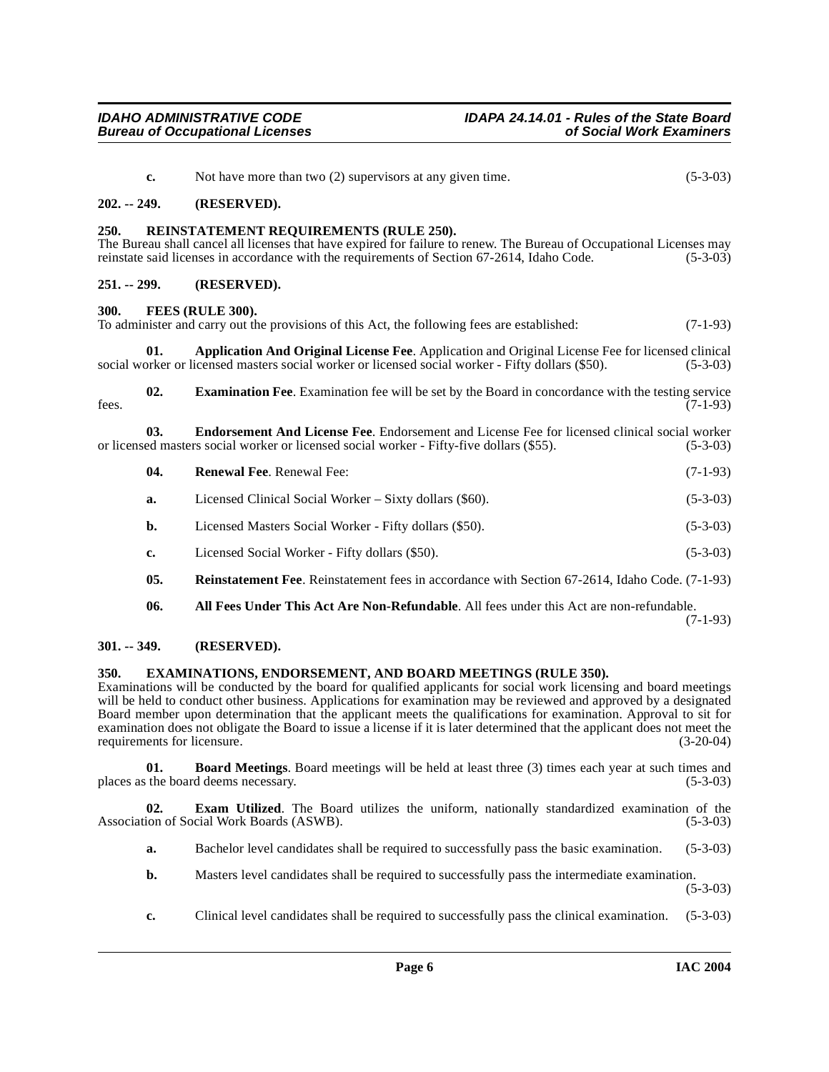- <span id="page-5-15"></span><span id="page-5-13"></span><span id="page-5-11"></span><span id="page-5-7"></span><span id="page-5-3"></span><span id="page-5-2"></span><span id="page-5-1"></span><span id="page-5-0"></span>**c.** Not have more than two (2) supervisors at any given time. (5-3-03) **202. -- 249. (RESERVED). 250. REINSTATEMENT REQUIREMENTS (RULE 250).** The Bureau shall cancel all licenses that have expired for failure to renew. The Bureau of Occupational Licenses may reinstate said licenses in accordance with the requirements of Section 67-2614, Idaho Code. (5-3-03) **251. -- 299. (RESERVED). 300. FEES (RULE 300).** To administer and carry out the provisions of this Act, the following fees are established: (7-1-93) **01. Application And Original License Fee**. Application and Original License Fee for licensed clinical pricensed masters social worker or licensed social worker - Fifty dollars (\$50). (5-3-03) social worker or licensed masters social worker or licensed social worker - Fifty dollars (\$50). **02. Examination Fee**. Examination fee will be set by the Board in concordance with the testing service (7-1-93) fees.  $(7-1-93)$ **03. Endorsement And License Fee**. Endorsement and License Fee for licensed clinical social worker or licensed masters social worker or licensed social worker - Fifty-five dollars (\$55). (5-3-03) **04. Renewal Fee**. Renewal Fee: (7-1-93) **a.** Licensed Clinical Social Worker – Sixty dollars (\$60). (5-3-03) **b.** Licensed Masters Social Worker - Fifty dollars (\$50). (5-3-03) **c.** Licensed Social Worker - Fifty dollars (\$50). (5-3-03)
	- **05. Reinstatement Fee**. Reinstatement fees in accordance with Section 67-2614, Idaho Code. (7-1-93)
	- **06. All Fees Under This Act Are Non-Refundable**. All fees under this Act are non-refundable. (7-1-93)

<span id="page-5-16"></span><span id="page-5-14"></span><span id="page-5-9"></span><span id="page-5-6"></span><span id="page-5-4"></span>**301. -- 349. (RESERVED).**

## <span id="page-5-12"></span><span id="page-5-5"></span>**350. EXAMINATIONS, ENDORSEMENT, AND BOARD MEETINGS (RULE 350).**

Examinations will be conducted by the board for qualified applicants for social work licensing and board meetings will be held to conduct other business. Applications for examination may be reviewed and approved by a designated Board member upon determination that the applicant meets the qualifications for examination. Approval to sit for examination does not obligate the Board to issue a license if it is later determined that the applicant does not meet the requirements for licensure. (3-20-04)

<span id="page-5-8"></span>**01. Board Meetings**. Board meetings will be held at least three (3) times each year at such times and places as the board deems necessary. (5-3-03)

**02. Exam Utilized**. The Board utilizes the uniform, nationally standardized examination of the Association of Social Work Boards (ASWB). (5-3-03)

- <span id="page-5-10"></span>**a.** Bachelor level candidates shall be required to successfully pass the basic examination. (5-3-03)
- **b.** Masters level candidates shall be required to successfully pass the intermediate examination. (5-3-03)
- **c.** Clinical level candidates shall be required to successfully pass the clinical examination. (5-3-03)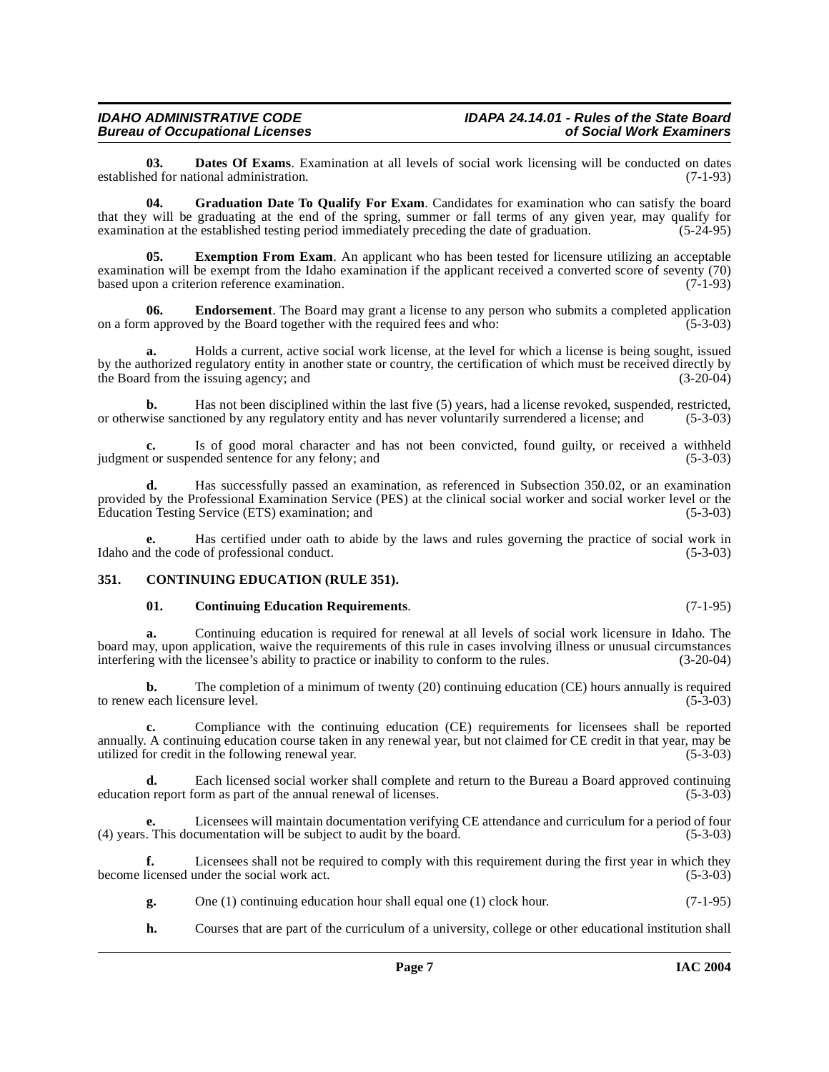## **Bureau of Occupational Licenses**

<span id="page-6-3"></span>**03. Dates Of Exams**. Examination at all levels of social work licensing will be conducted on dates ed for national administration. (7-1-93) established for national administration.

<span id="page-6-6"></span>**04. Graduation Date To Qualify For Exam**. Candidates for examination who can satisfy the board that they will be graduating at the end of the spring, summer or fall terms of any given year, may qualify for examination at the established testing period immediately preceding the date of graduation.  $(5-24-95)$ examination at the established testing period immediately preceding the date of graduation.

<span id="page-6-5"></span>**05. Exemption From Exam**. An applicant who has been tested for licensure utilizing an acceptable examination will be exempt from the Idaho examination if the applicant received a converted score of seventy (70) based upon a criterion reference examination. (7-1-93)

<span id="page-6-4"></span>**06. Endorsement**. The Board may grant a license to any person who submits a completed application on a form approved by the Board together with the required fees and who: (5-3-03)

**a.** Holds a current, active social work license, at the level for which a license is being sought, issued by the authorized regulatory entity in another state or country, the certification of which must be received directly by the Board from the issuing agency; and

**b.** Has not been disciplined within the last five (5) years, had a license revoked, suspended, restricted, vise sanctioned by any regulatory entity and has never voluntarily surrendered a license; and (5-3-03) or otherwise sanctioned by any regulatory entity and has never voluntarily surrendered a license; and

**c.** Is of good moral character and has not been convicted, found guilty, or received a withheld t or suspended sentence for any felony; and (5-3-03) judgment or suspended sentence for any felony; and

**d.** Has successfully passed an examination, as referenced in Subsection 350.02, or an examination provided by the Professional Examination Service (PES) at the clinical social worker and social worker level or the Education Testing Service (ETS) examination; and (5-3-03) Education Testing Service (ETS) examination; and (5-3-03)

**e.** Has certified under oath to abide by the laws and rules governing the practice of social work in Idaho and the code of professional conduct. (5-3-03)

## <span id="page-6-0"></span>**351. CONTINUING EDUCATION (RULE 351).**

## <span id="page-6-2"></span><span id="page-6-1"></span>**01. Continuing Education Requirements**. (7-1-95)

**a.** Continuing education is required for renewal at all levels of social work licensure in Idaho. The board may, upon application, waive the requirements of this rule in cases involving illness or unusual circumstances interfering with the licensee's ability to practice or inability to conform to the rules. (3-20-04) interfering with the licensee's ability to practice or inability to conform to the rules.

**b.** The completion of a minimum of twenty (20) continuing education (CE) hours annually is required to renew each licensure level. (5-3-03)

**c.** Compliance with the continuing education (CE) requirements for licensees shall be reported annually. A continuing education course taken in any renewal year, but not claimed for CE credit in that year, may be utilized for credit in the following renewal year. (5-3-03)

**d.** Each licensed social worker shall complete and return to the Bureau a Board approved continuing in report form as part of the annual renewal of licenses. (5-3-03) education report form as part of the annual renewal of licenses.

Licensees will maintain documentation verifying CE attendance and curriculum for a period of four cumentation will be subject to audit by the board. (5-3-03) (4) years. This documentation will be subject to audit by the board.

**f.** Licensees shall not be required to comply with this requirement during the first year in which they become licensed under the social work act. (5-3-03)

- **g.** One (1) continuing education hour shall equal one (1) clock hour. (7-1-95)
- **h.** Courses that are part of the curriculum of a university, college or other educational institution shall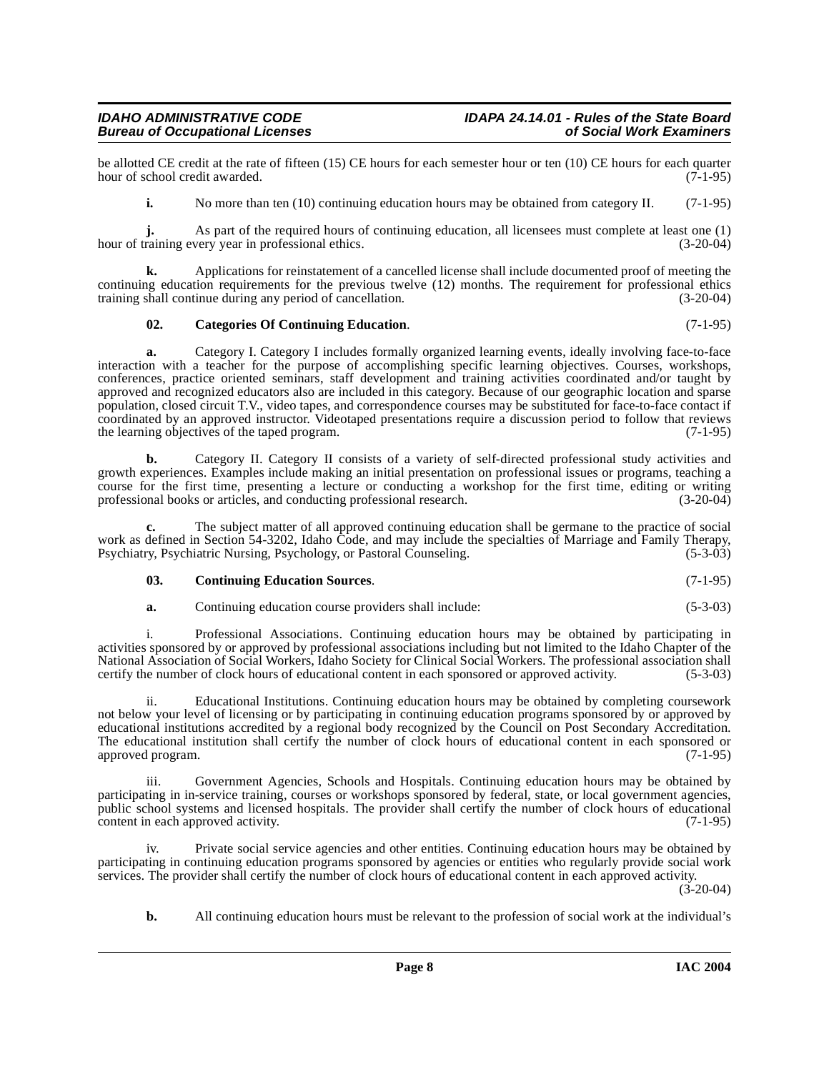## **IDAHO ADMINISTRATIVE CODE IDAPA 24.14.01 - Rules of the State Board Bureau of Occupational Licenses**

be allotted CE credit at the rate of fifteen (15) CE hours for each semester hour or ten (10) CE hours for each quarter hour of school credit awarded. (7-1-95) hour of school credit awarded.

**i.** No more than ten (10) continuing education hours may be obtained from category II. (7-1-95)

**j.** As part of the required hours of continuing education, all licensees must complete at least one (1) raining every year in professional ethics. (3-20-04) hour of training every year in professional ethics.

**k.** Applications for reinstatement of a cancelled license shall include documented proof of meeting the continuing education requirements for the previous twelve (12) months. The requirement for professional ethics training shall continue during any period of cancellation. (3-20-04) training shall continue during any period of cancellation.

## <span id="page-7-0"></span>**02. Categories Of Continuing Education**. (7-1-95)

**a.** Category I. Category I includes formally organized learning events, ideally involving face-to-face interaction with a teacher for the purpose of accomplishing specific learning objectives. Courses, workshops, conferences, practice oriented seminars, staff development and training activities coordinated and/or taught by approved and recognized educators also are included in this category. Because of our geographic location and sparse population, closed circuit T.V., video tapes, and correspondence courses may be substituted for face-to-face contact if coordinated by an approved instructor. Videotaped presentations require a discussion period to follow that reviews the learning objectives of the taped program. the learning objectives of the taped program.

**b.** Category II. Category II consists of a variety of self-directed professional study activities and growth experiences. Examples include making an initial presentation on professional issues or programs, teaching a course for the first time, presenting a lecture or conducting a workshop for the first time, editing or writing professional books or articles, and conducting professional research. (3-20-04)

**c.** The subject matter of all approved continuing education shall be germane to the practice of social work as defined in Section 54-3202, Idaho Code, and may include the specialties of Marriage and Family Therapy,<br>Psychiatry, Psychiatric Nursing, Psychology, or Pastoral Counseling. (5-3-03) Psychiatry, Psychiatric Nursing, Psychology, or Pastoral Counseling.

## <span id="page-7-1"></span>**03. Continuing Education Sources**. (7-1-95)

**a.** Continuing education course providers shall include: (5-3-03)

i. Professional Associations. Continuing education hours may be obtained by participating in activities sponsored by or approved by professional associations including but not limited to the Idaho Chapter of the National Association of Social Workers, Idaho Society for Clinical Social Workers. The professional association shall certify the number of clock hours of educational content in each sponsored or approved activity. (5-3-03)

ii. Educational Institutions. Continuing education hours may be obtained by completing coursework not below your level of licensing or by participating in continuing education programs sponsored by or approved by educational institutions accredited by a regional body recognized by the Council on Post Secondary Accreditation. The educational institution shall certify the number of clock hours of educational content in each sponsored or approved program. (7-1-95) approved program.

iii. Government Agencies, Schools and Hospitals. Continuing education hours may be obtained by participating in in-service training, courses or workshops sponsored by federal, state, or local government agencies, public school systems and licensed hospitals. The provider shall certify the number of clock hours of educational content in each approved activity. (7-1-95)

iv. Private social service agencies and other entities. Continuing education hours may be obtained by participating in continuing education programs sponsored by agencies or entities who regularly provide social work services. The provider shall certify the number of clock hours of educational content in each approved activity.  $(3-20-04)$ 

**b.** All continuing education hours must be relevant to the profession of social work at the individual's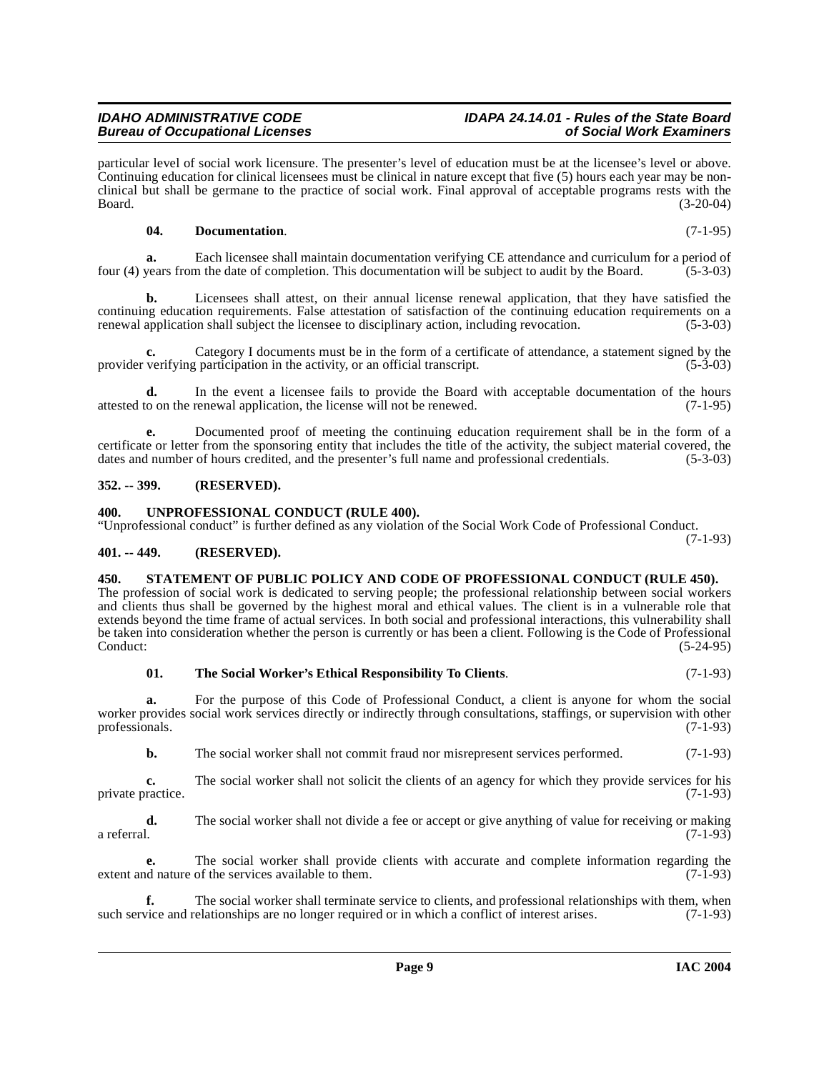particular level of social work licensure. The presenter's level of education must be at the licensee's level or above. Continuing education for clinical licensees must be clinical in nature except that five (5) hours each year may be nonclinical but shall be germane to the practice of social work. Final approval of acceptable programs rests with the Board. (3-20-04)

## <span id="page-8-4"></span>**04. Documentation**. (7-1-95)

**a.** Each licensee shall maintain documentation verifying CE attendance and curriculum for a period of vears from the date of completion. This documentation will be subject to audit by the Board. (5-3-03) four (4) years from the date of completion. This documentation will be subject to audit by the Board.

**b.** Licensees shall attest, on their annual license renewal application, that they have satisfied the continuing education requirements. False attestation of satisfaction of the continuing education requirements on a renewal application shall subject the licensee to disciplinary action, including revocation. (5-3-03)

**c.** Category I documents must be in the form of a certificate of attendance, a statement signed by the verifying participation in the activity, or an official transcript. (5-3-03) provider verifying participation in the activity, or an official transcript.

**d.** In the event a licensee fails to provide the Board with acceptable documentation of the hours o on the renewal application, the license will not be renewed. (7-1-95) attested to on the renewal application, the license will not be renewed.

**e.** Documented proof of meeting the continuing education requirement shall be in the form of a certificate or letter from the sponsoring entity that includes the title of the activity, the subject material covered, the dates and number of hours credited, and the presenter's full name and professional credentials. (5 dates and number of hours credited, and the presenter's full name and professional credentials.

## <span id="page-8-0"></span>**352. -- 399. (RESERVED).**

## <span id="page-8-7"></span><span id="page-8-1"></span>**400. UNPROFESSIONAL CONDUCT (RULE 400).**

"Unprofessional conduct" is further defined as any violation of the Social Work Code of Professional Conduct.

## <span id="page-8-2"></span>**401. -- 449. (RESERVED).**

## <span id="page-8-5"></span><span id="page-8-3"></span>**450. STATEMENT OF PUBLIC POLICY AND CODE OF PROFESSIONAL CONDUCT (RULE 450).**

The profession of social work is dedicated to serving people; the professional relationship between social workers and clients thus shall be governed by the highest moral and ethical values. The client is in a vulnerable role that extends beyond the time frame of actual services. In both social and professional interactions, this vulnerability shall be taken into consideration whether the person is currently or has been a client. Following is the Code of Professional Conduct: (5-24-95) Conduct: (5-24-95)

## <span id="page-8-6"></span>**01. The Social Worker's Ethical Responsibility To Clients**. (7-1-93)

**a.** For the purpose of this Code of Professional Conduct, a client is anyone for whom the social worker provides social work services directly or indirectly through consultations, staffings, or supervision with other professionals. (7-1-93) professionals.

**b.** The social worker shall not commit fraud nor misrepresent services performed.  $(7-1-93)$ 

**c.** The social worker shall not solicit the clients of an agency for which they provide services for his ractice. (7-1-93) private practice.

**d.** The social worker shall not divide a fee or accept or give anything of value for receiving or making a referral. (7-1-93) a referral.  $(7-1-93)$ 

**e.** The social worker shall provide clients with accurate and complete information regarding the extent and nature of the services available to them. (7-1-93)

**f.** The social worker shall terminate service to clients, and professional relationships with them, when vice and relationships are no longer required or in which a conflict of interest arises. (7-1-93) such service and relationships are no longer required or in which a conflict of interest arises.

(7-1-93)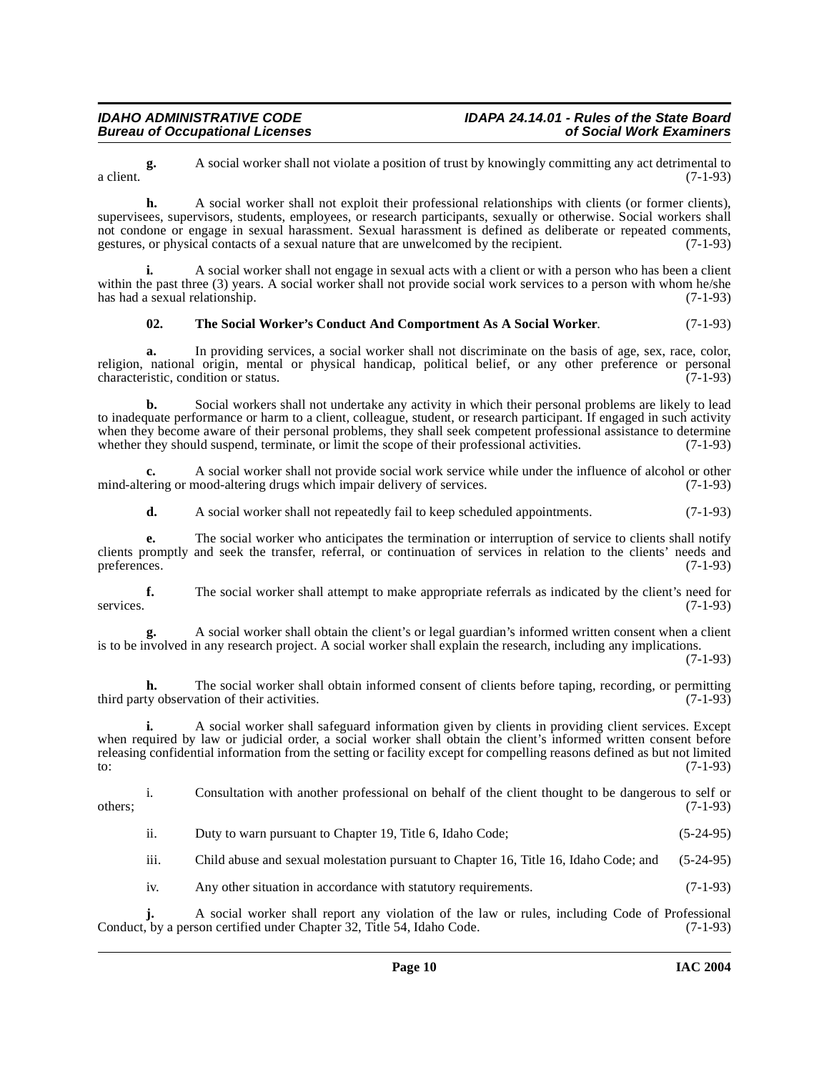**g.** A social worker shall not violate a position of trust by knowingly committing any act detrimental to  $(7-1-93)$ a client.  $(7-1-93)$ 

**h.** A social worker shall not exploit their professional relationships with clients (or former clients), supervisees, supervisors, students, employees, or research participants, sexually or otherwise. Social workers shall not condone or engage in sexual harassment. Sexual harassment is defined as deliberate or repeated comments, gestures, or physical contacts of a sexual nature that are unwelcomed by the recipient. (7-1-93)

**i.** A social worker shall not engage in sexual acts with a client or with a person who has been a client within the past three (3) years. A social worker shall not provide social work services to a person with whom he/she has had a sexual relationship.  $(7-1-93)$ has had a sexual relationship.

## <span id="page-9-0"></span>**02. The Social Worker's Conduct And Comportment As A Social Worker**. (7-1-93)

**a.** In providing services, a social worker shall not discriminate on the basis of age, sex, race, color, religion, national origin, mental or physical handicap, political belief, or any other preference or personal characteristic, condition or status. (7-1-93) characteristic, condition or status.

**b.** Social workers shall not undertake any activity in which their personal problems are likely to lead to inadequate performance or harm to a client, colleague, student, or research participant. If engaged in such activity when they become aware of their personal problems, they shall seek competent professional assistance to determine whether they should suspend, terminate, or limit the scope of their professional activities. (7-1-93)

**c.** A social worker shall not provide social work service while under the influence of alcohol or other mind-altering or mood-altering drugs which impair delivery of services. (7-1-93)

**d.** A social worker shall not repeatedly fail to keep scheduled appointments. (7-1-93)

**e.** The social worker who anticipates the termination or interruption of service to clients shall notify clients promptly and seek the transfer, referral, or continuation of services in relation to the clients' needs and preferences. (7-1-93)

**f.** The social worker shall attempt to make appropriate referrals as indicated by the client's need for services. (7-1-93)

**g.** A social worker shall obtain the client's or legal guardian's informed written consent when a client is to be involved in any research project. A social worker shall explain the research, including any implications.

(7-1-93)

**h.** The social worker shall obtain informed consent of clients before taping, recording, or permitting third party observation of their activities. (7-1-93)

**i.** A social worker shall safeguard information given by clients in providing client services. Except when required by law or judicial order, a social worker shall obtain the client's informed written consent before releasing confidential information from the setting or facility except for compelling reasons defined as but not limited to:  $(7-1-93)$ 

i. Consultation with another professional on behalf of the client thought to be dangerous to self or  $\omega$  others;  $(7-1-93)$ 

ii. Duty to warn pursuant to Chapter 19, Title 6, Idaho Code; (5-24-95)

iii. Child abuse and sexual molestation pursuant to Chapter 16, Title 16, Idaho Code; and (5-24-95)

iv. Any other situation in accordance with statutory requirements. (7-1-93)

**j.** A social worker shall report any violation of the law or rules, including Code of Professional Conduct, by a person certified under Chapter 32, Title 54, Idaho Code. (7-1-93)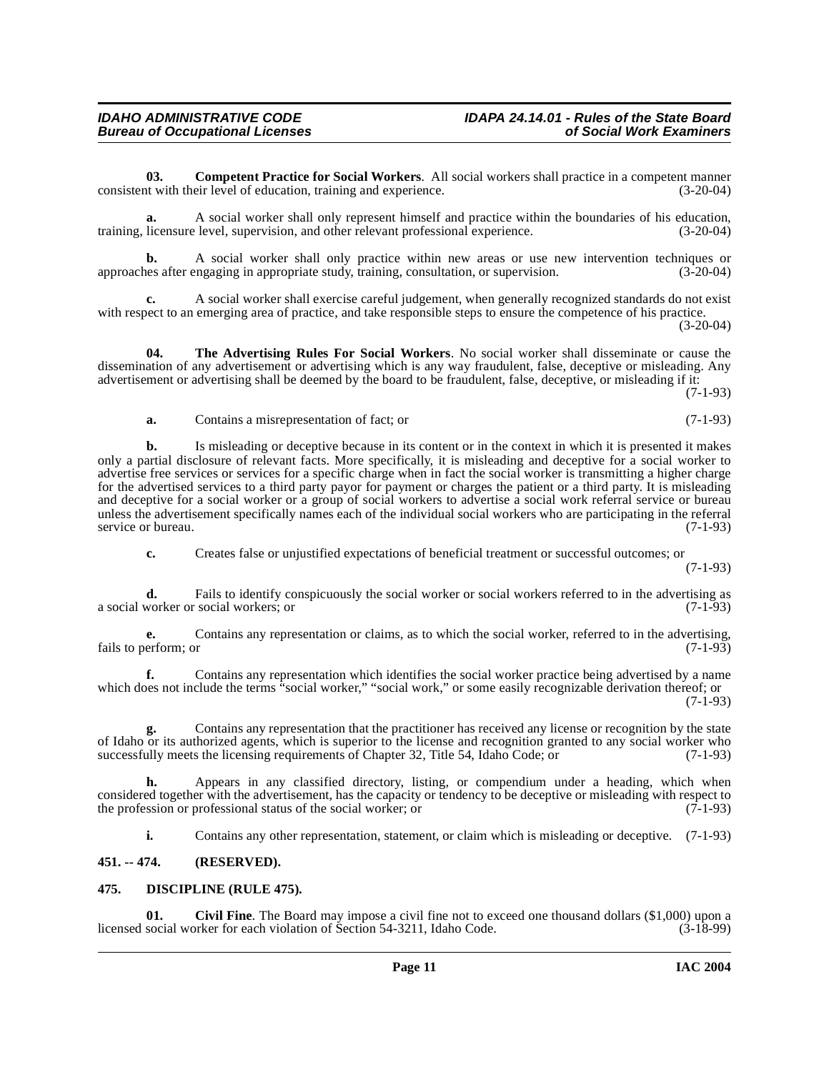**03. Competent Practice for Social Workers**. All social workers shall practice in a competent manner consistent with their level of education, training and experience. (3-20-04)

**a.** A social worker shall only represent himself and practice within the boundaries of his education, training, licensure level, supervision, and other relevant professional experience. (3-20-04)

**b.** A social worker shall only practice within new areas or use new intervention techniques or use after engaging in appropriate study, training, consultation, or supervision. (3-20-04) approaches after engaging in appropriate study, training, consultation, or supervision.

**c.** A social worker shall exercise careful judgement, when generally recognized standards do not exist with respect to an emerging area of practice, and take responsible steps to ensure the competence of his practice. (3-20-04)

**04. The Advertising Rules For Social Workers**. No social worker shall disseminate or cause the dissemination of any advertisement or advertising which is any way fraudulent, false, deceptive or misleading. Any advertisement or advertising shall be deemed by the board to be fraudulent, false, deceptive, or misleading if it:

(7-1-93)

## <span id="page-10-4"></span>**a.** Contains a misrepresentation of fact; or (7-1-93)

**b.** Is misleading or deceptive because in its content or in the context in which it is presented it makes only a partial disclosure of relevant facts. More specifically, it is misleading and deceptive for a social worker to advertise free services or services for a specific charge when in fact the social worker is transmitting a higher charge for the advertised services to a third party payor for payment or charges the patient or a third party. It is misleading and deceptive for a social worker or a group of social workers to advertise a social work referral service or bureau unless the advertisement specifically names each of the individual social workers who are participating in the referral service or bureau. (7-1-93) service or bureau.

**c.** Creates false or unjustified expectations of beneficial treatment or successful outcomes; or

(7-1-93)

**d.** Fails to identify conspicuously the social worker or social workers referred to in the advertising as worker or social workers: or (7-1-93) a social worker or social workers; or

**e.** Contains any representation or claims, as to which the social worker, referred to in the advertising, erform: or  $(7-1-93)$ fails to perform; or

**f.** Contains any representation which identifies the social worker practice being advertised by a name which does not include the terms "social worker," "social work," or some easily recognizable derivation thereof; or (7-1-93)

**g.** Contains any representation that the practitioner has received any license or recognition by the state of Idaho or its authorized agents, which is superior to the license and recognition granted to any social worker who successfully meets the licensing requirements of Chapter 32, Title 54, Idaho Code; or (7-1-93)

**h.** Appears in any classified directory, listing, or compendium under a heading, which when considered together with the advertisement, has the capacity or tendency to be deceptive or misleading with respect to the profession or professional status of the social worker; or (7-1-93) the profession or professional status of the social worker; or

<span id="page-10-3"></span><span id="page-10-2"></span>**i.** Contains any other representation, statement, or claim which is misleading or deceptive. (7-1-93)

## <span id="page-10-0"></span>**451. -- 474. (RESERVED).**

## <span id="page-10-1"></span>**475. DISCIPLINE (RULE 475).**

**01.** Civil Fine. The Board may impose a civil fine not to exceed one thousand dollars (\$1,000) upon a social worker for each violation of Section 54-3211. Idaho Code. (3-18-99) licensed social worker for each violation of Section 54-3211, Idaho Code.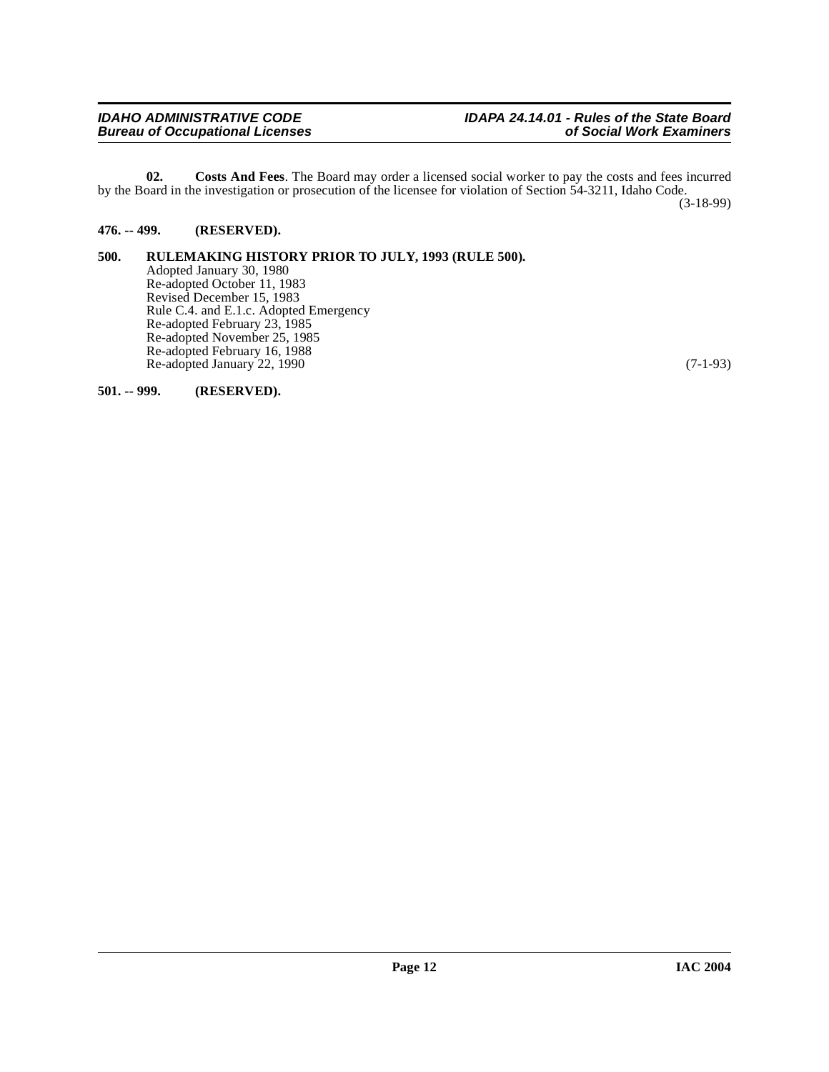<span id="page-11-3"></span>**02. Costs And Fees**. The Board may order a licensed social worker to pay the costs and fees incurred by the Board in the investigation or prosecution of the licensee for violation of Section 54-3211, Idaho Code. (3-18-99)

## <span id="page-11-0"></span>**476. -- 499. (RESERVED).**

#### <span id="page-11-1"></span>**500. RULEMAKING HISTORY PRIOR TO JULY, 1993 (RULE 500).** Adopted January 30, 1980 Re-adopted October 11, 1983 Revised December 15, 1983 Rule C.4. and E.1.c. Adopted Emergency Re-adopted February 23, 1985 Re-adopted November 25, 1985 Re-adopted February 16, 1988 Re-adopted January 22, 1990 (7-1-93)

<span id="page-11-2"></span>**501. -- 999. (RESERVED).**